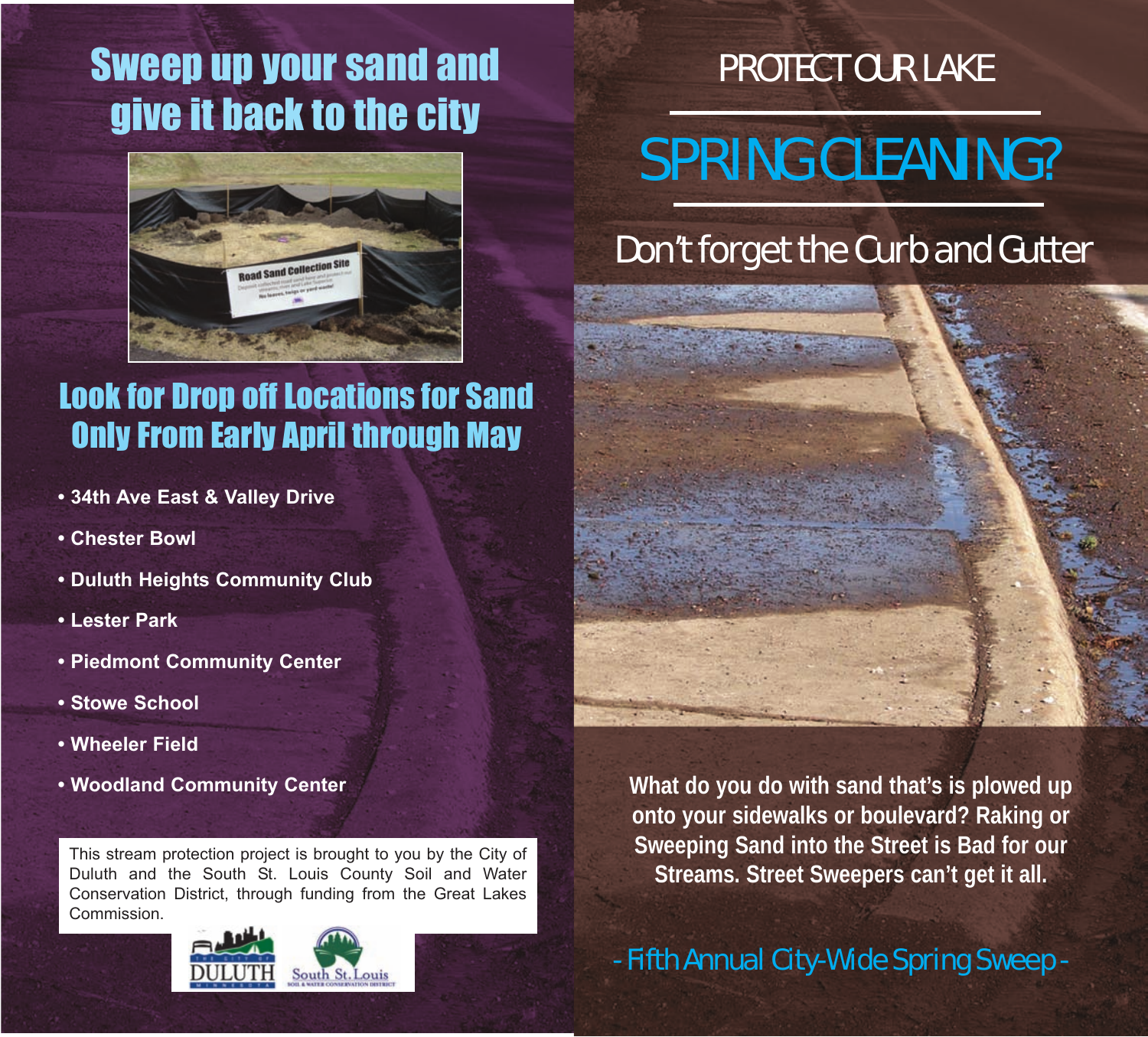### Sweep up your sand and give it back to the city



#### Look for Drop off Locations for Sand Only From Early April through May

- **34th Ave East & Valley Drive**
- **Chester Bowl**
- **Duluth Heights Community Club**
- **Lester Park**
- **Piedmont Community Center**
- **Stowe School**
- **Wheeler Field**
- **Woodland Community Center**

This stream protection project is brought to you by the City of Duluth and the South St. Louis County Soil and Water Conservation District, through funding from the Great Lakes Commission.





# SPRING CLEANING?

#### Don't forget the Curb and Gutter



**What do you do with sand that's is plowed up onto your sidewalks or boulevard? Raking or Sweeping Sand into the Street is Bad for our Streams. Street Sweepers can't get it all.**

- Fifth Annual City-Wide Spring Sweep -